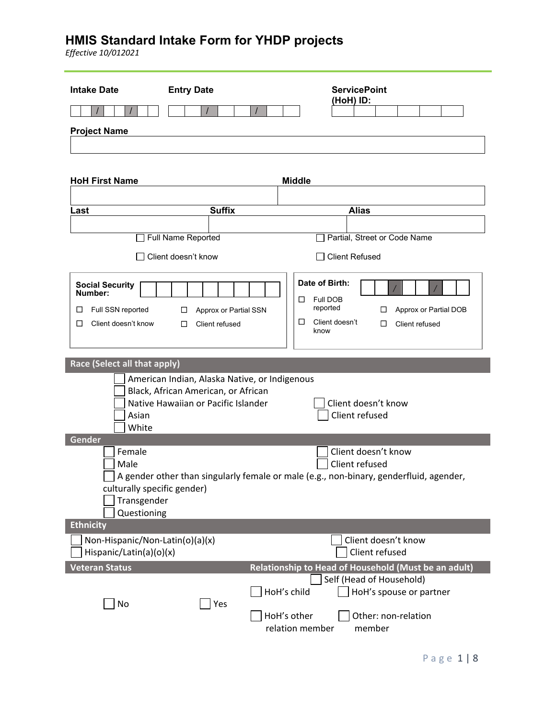| <b>Intake Date</b>                                                                      | <b>Entry Date</b>                                                          | <b>ServicePoint</b><br>(HoH) ID:                                                                                                       |
|-----------------------------------------------------------------------------------------|----------------------------------------------------------------------------|----------------------------------------------------------------------------------------------------------------------------------------|
| <b>Project Name</b>                                                                     |                                                                            |                                                                                                                                        |
| <b>HoH First Name</b>                                                                   |                                                                            | <b>Middle</b>                                                                                                                          |
| Last                                                                                    | <b>Suffix</b>                                                              | <b>Alias</b>                                                                                                                           |
|                                                                                         |                                                                            |                                                                                                                                        |
|                                                                                         | Full Name Reported                                                         | Partial, Street or Code Name                                                                                                           |
|                                                                                         | Client doesn't know                                                        | <b>Client Refused</b>                                                                                                                  |
| <b>Social Security</b><br>Number:<br>Full SSN reported<br>⊔<br>□<br>Client doesn't know | Approx or Partial SSN<br>□<br>Client refused<br>□                          | Date of Birth:<br><b>Full DOB</b><br>□<br>reported<br>Approx or Partial DOB<br>□<br>□<br>Client doesn't<br>□<br>Client refused<br>know |
| Race (Select all that apply)                                                            | American Indian, Alaska Native, or Indigenous                              |                                                                                                                                        |
| Asian<br>White                                                                          | Black, African American, or African<br>Native Hawaiian or Pacific Islander | Client doesn't know<br>Client refused                                                                                                  |
| Gender                                                                                  |                                                                            |                                                                                                                                        |
| Female<br>Male<br>culturally specific gender)<br>Transgender<br>Questioning             |                                                                            | Client doesn't know<br>Client refused<br>A gender other than singularly female or male (e.g., non-binary, genderfluid, agender,        |
| <b>Ethnicity</b>                                                                        |                                                                            |                                                                                                                                        |
| Non-Hispanic/Non-Latin(o)(a)(x)<br>Hispanic/Latin(a)(o)(x)                              |                                                                            | Client doesn't know<br>Client refused                                                                                                  |
| Veteran Status<br>No                                                                    | Yes                                                                        | Relationship to Head of Household (Must be an adult)<br>Self (Head of Household)<br>HoH's child<br>HoH's spouse or partner             |
|                                                                                         |                                                                            | HoH's other<br>Other: non-relation<br>relation member<br>member                                                                        |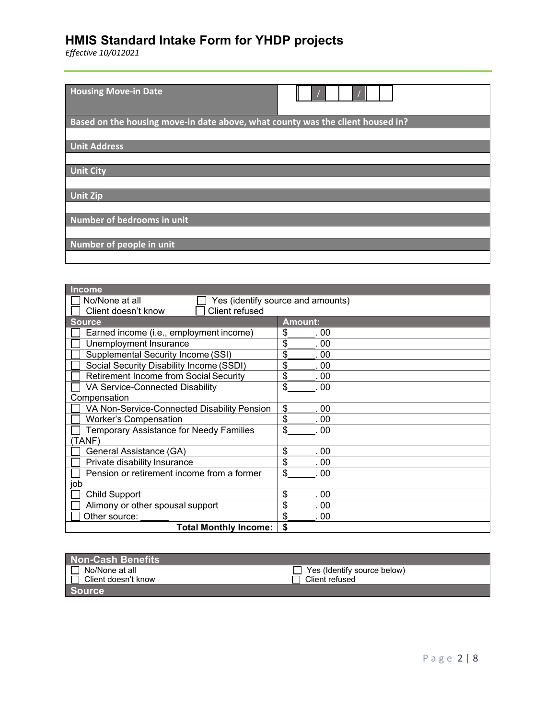| <b>Housing Move-in Date</b>                                                    |
|--------------------------------------------------------------------------------|
| Based on the housing move-in date above, what county was the client housed in? |
|                                                                                |
| <b>Unit Address</b>                                                            |
|                                                                                |
| <b>Unit City</b>                                                               |
|                                                                                |
| <b>Unit Zip</b>                                                                |
|                                                                                |
| Number of bedrooms in unit                                                     |
|                                                                                |
| Number of people in unit                                                       |
|                                                                                |

| <b>Income</b>                                 |                                   |
|-----------------------------------------------|-----------------------------------|
| No/None at all                                | Yes (identify source and amounts) |
| Client refused<br>Client doesn't know         |                                   |
| <b>Source</b>                                 | <b>Amount:</b>                    |
| Earned income (i.e., employment income)       | \$<br>. 00                        |
| Unemployment Insurance                        | \$<br>. 00                        |
| Supplemental Security Income (SSI)            | \$<br>. 00                        |
| Social Security Disability Income (SSDI)      | \$<br>. 00                        |
| <b>Retirement Income from Social Security</b> | \$<br>.00                         |
| VA Service-Connected Disability               | \$<br>. 00                        |
| Compensation                                  |                                   |
| VA Non-Service-Connected Disability Pension   | \$<br>.00                         |
| <b>Worker's Compensation</b>                  | \$<br>. 00                        |
| Temporary Assistance for Needy Families       | \$<br>00                          |
| TANF)                                         |                                   |
| General Assistance (GA)                       | \$<br>. 00                        |
| Private disability Insurance                  | \$<br>00                          |
| Pension or retirement income from a former    | \$<br>.00                         |
| iob                                           |                                   |
| <b>Child Support</b>                          | \$<br>. 00                        |
| Alimony or other spousal support              | \$<br>. 00                        |
| Other source:                                 | \$<br>00                          |
| <b>Total Monthly Income:</b>                  | \$                                |

| <b>Non-Cash Benefits</b> |                             |
|--------------------------|-----------------------------|
| No/None at all           | Yes (Identify source below) |
| ∟ Client doesn't know    | Client refused              |
| <b>Source</b>            |                             |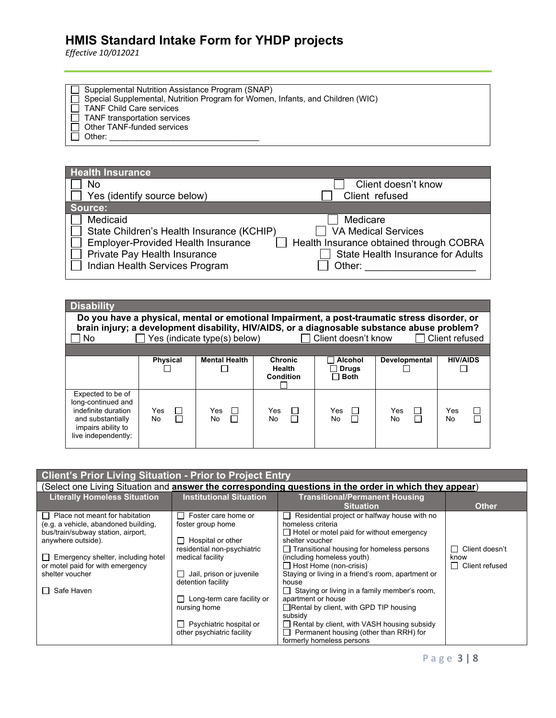*Effective 10/012021*

 Supplemental Nutrition Assistance Program (SNAP) Special Supplemental, Nutrition Program for Women, Infants, and Children (WIC) TANF Child Care services TANF transportation services Other TANF-funded services Other: \_\_\_\_\_\_\_\_\_\_\_\_\_\_\_\_\_\_\_\_\_\_\_\_\_\_\_\_\_\_\_\_\_

| <b>Health Insurance</b>                                                                                                                                              |                                                                                                                                         |
|----------------------------------------------------------------------------------------------------------------------------------------------------------------------|-----------------------------------------------------------------------------------------------------------------------------------------|
| No                                                                                                                                                                   | Client doesn't know                                                                                                                     |
| Yes (identify source below)                                                                                                                                          | Client refused                                                                                                                          |
| Source:                                                                                                                                                              |                                                                                                                                         |
| Medicaid<br>State Children's Health Insurance (KCHIP)<br><b>Employer-Provided Health Insurance</b><br>Private Pay Health Insurance<br>Indian Health Services Program | Medicare<br><b>VA Medical Services</b><br>Health Insurance obtained through COBRA<br><b>State Health Insurance for Adults</b><br>Other: |

| <b>Disability</b><br>Do you have a physical, mental or emotional Impairment, a post-traumatic stress disorder, or<br>brain injury; a development disability, HIV/AIDS, or a diagnosable substance abuse problem?<br>No. |                           | Yes (indicate type(s) below) |                                              | $\Box$ Client doesn't know               |                     | $\Box$ Client refused |
|-------------------------------------------------------------------------------------------------------------------------------------------------------------------------------------------------------------------------|---------------------------|------------------------------|----------------------------------------------|------------------------------------------|---------------------|-----------------------|
|                                                                                                                                                                                                                         | <b>Physical</b>           | <b>Mental Health</b>         | <b>Chronic</b><br><b>Health</b><br>Condition | Alcohol<br><b>Orugs</b> ⊺<br>$\Box$ Both | Developmental       | <b>HIV/AIDS</b>       |
| Expected to be of<br>long-continued and<br>indefinite duration<br>and substantially<br>impairs ability to<br>live independently:                                                                                        | Yes<br>$\Box$<br>П<br>No. | Yes<br>$\mathbf{L}$<br>No.   | Yes<br>П<br>П<br>No.                         | Yes<br>$\mathbf{L}$<br>No                | Yes<br>$\Box$<br>No | □<br>Yes<br>No        |

| <b>Client's Prior Living Situation - Prior to Project Entry</b> |                                       |                                                                                                        |                           |
|-----------------------------------------------------------------|---------------------------------------|--------------------------------------------------------------------------------------------------------|---------------------------|
|                                                                 |                                       | (Select one Living Situation and answer the corresponding questions in the order in which they appear) |                           |
| <b>Literally Homeless Situation</b>                             | <b>Institutional Situation</b>        | <b>Transitional/Permanent Housing</b>                                                                  |                           |
|                                                                 |                                       | <b>Situation</b>                                                                                       | <b>Other</b>              |
| Place not meant for habitation<br>$\mathbf{L}$                  | Foster care home or<br>$\blacksquare$ | Residential project or halfway house with no<br>$\perp$                                                |                           |
| (e.g. a vehicle, abandoned building,                            | foster group home                     | homeless criteria                                                                                      |                           |
| bus/train/subway station, airport,                              |                                       | $\Box$ Hotel or motel paid for without emergency                                                       |                           |
| anywhere outside).                                              | $\Box$ Hospital or other              | shelter voucher                                                                                        |                           |
|                                                                 | residential non-psychiatric           | $\Box$ Transitional housing for homeless persons                                                       | Client doesn't<br>$\perp$ |
| Emergency shelter, including hotel                              | medical facility                      | (including homeless youth)                                                                             | know                      |
| or motel paid for with emergency                                |                                       | $\Box$ Host Home (non-crisis)                                                                          | $\Box$ Client refused     |
| shelter voucher                                                 | $\Box$ Jail, prison or juvenile       | Staying or living in a friend's room, apartment or                                                     |                           |
|                                                                 | detention facility                    | house                                                                                                  |                           |
| Safe Haven                                                      |                                       | $\Box$ Staying or living in a family member's room,                                                    |                           |
|                                                                 | $\Box$ Long-term care facility or     | apartment or house                                                                                     |                           |
|                                                                 | nursing home                          | $\Box$ Rental by client, with GPD TIP housing                                                          |                           |
|                                                                 |                                       | subsidy                                                                                                |                           |
|                                                                 | $\Box$ Psychiatric hospital or        | Rental by client, with VASH housing subsidy                                                            |                           |
|                                                                 | other psychiatric facility            | Permanent housing (other than RRH) for                                                                 |                           |
|                                                                 |                                       | formerly homeless persons                                                                              |                           |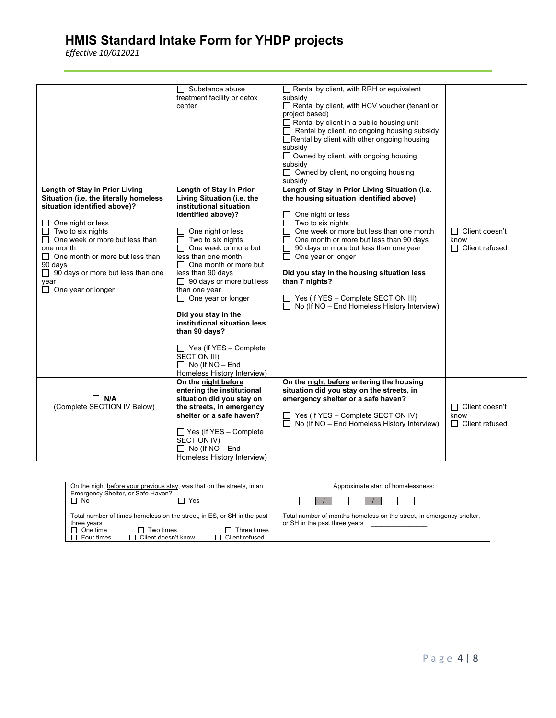| Rental by client, with RRH or equivalent<br>$\Box$ Substance abuse<br>treatment facility or detox<br>subsidy<br>Rental by client, with HCV voucher (tenant or<br>center<br>project based)<br>$\Box$ Rental by client in a public housing unit<br>$\Box$ Rental by client, no ongoing housing subsidy<br>Rental by client with other ongoing housing<br>subsidy<br>$\Box$ Owned by client, with ongoing housing<br>subsidy<br>$\Box$ Owned by client, no ongoing housing<br>subsidy<br>Length of Stay in Prior Living<br>Length of Stay in Prior<br>Length of Stay in Prior Living Situation (i.e.<br>Situation (i.e. the literally homeless<br>Living Situation (i.e. the<br>the housing situation identified above)<br>institutional situation<br>situation identified above)?<br>identified above)?<br>One night or less<br>Two to six nights<br>One night or less<br>$\Box$<br>One week or more but less than one month<br>Two to six nights<br>One night or less<br>П<br>$\Box$<br>$\Box$ Client doesn't<br>Ш<br>One week or more but less than<br>Two to six nights<br>One month or more but less than 90 days<br>$\perp$<br>know<br>$\sqcup$<br>$\Box$ One week or more but<br>one month<br>П<br>90 days or more but less than one year<br>$\Box$ Client refused<br>less than one month<br>One year or longer<br>$\Box$ One month or more but less than<br>$\Box$<br>90 days<br>$\Box$ One month or more but<br>$\Box$ 90 days or more but less than one<br>Did you stay in the housing situation less<br>less than 90 days<br>than 7 nights?<br>$\Box$ 90 days or more but less<br>year<br>$\Box$ One year or longer<br>than one year<br>$\Box$ One year or longer<br>$\Box$ Yes (If YES - Complete SECTION III)<br>No (If NO - End Homeless History Interview)<br>$\Box$<br>Did you stay in the |
|---------------------------------------------------------------------------------------------------------------------------------------------------------------------------------------------------------------------------------------------------------------------------------------------------------------------------------------------------------------------------------------------------------------------------------------------------------------------------------------------------------------------------------------------------------------------------------------------------------------------------------------------------------------------------------------------------------------------------------------------------------------------------------------------------------------------------------------------------------------------------------------------------------------------------------------------------------------------------------------------------------------------------------------------------------------------------------------------------------------------------------------------------------------------------------------------------------------------------------------------------------------------------------------------------------------------------------------------------------------------------------------------------------------------------------------------------------------------------------------------------------------------------------------------------------------------------------------------------------------------------------------------------------------------------------------------------------------------------------------------------------------------------------------------------------|
|                                                                                                                                                                                                                                                                                                                                                                                                                                                                                                                                                                                                                                                                                                                                                                                                                                                                                                                                                                                                                                                                                                                                                                                                                                                                                                                                                                                                                                                                                                                                                                                                                                                                                                                                                                                                         |
|                                                                                                                                                                                                                                                                                                                                                                                                                                                                                                                                                                                                                                                                                                                                                                                                                                                                                                                                                                                                                                                                                                                                                                                                                                                                                                                                                                                                                                                                                                                                                                                                                                                                                                                                                                                                         |
|                                                                                                                                                                                                                                                                                                                                                                                                                                                                                                                                                                                                                                                                                                                                                                                                                                                                                                                                                                                                                                                                                                                                                                                                                                                                                                                                                                                                                                                                                                                                                                                                                                                                                                                                                                                                         |
|                                                                                                                                                                                                                                                                                                                                                                                                                                                                                                                                                                                                                                                                                                                                                                                                                                                                                                                                                                                                                                                                                                                                                                                                                                                                                                                                                                                                                                                                                                                                                                                                                                                                                                                                                                                                         |
|                                                                                                                                                                                                                                                                                                                                                                                                                                                                                                                                                                                                                                                                                                                                                                                                                                                                                                                                                                                                                                                                                                                                                                                                                                                                                                                                                                                                                                                                                                                                                                                                                                                                                                                                                                                                         |
|                                                                                                                                                                                                                                                                                                                                                                                                                                                                                                                                                                                                                                                                                                                                                                                                                                                                                                                                                                                                                                                                                                                                                                                                                                                                                                                                                                                                                                                                                                                                                                                                                                                                                                                                                                                                         |
|                                                                                                                                                                                                                                                                                                                                                                                                                                                                                                                                                                                                                                                                                                                                                                                                                                                                                                                                                                                                                                                                                                                                                                                                                                                                                                                                                                                                                                                                                                                                                                                                                                                                                                                                                                                                         |
|                                                                                                                                                                                                                                                                                                                                                                                                                                                                                                                                                                                                                                                                                                                                                                                                                                                                                                                                                                                                                                                                                                                                                                                                                                                                                                                                                                                                                                                                                                                                                                                                                                                                                                                                                                                                         |
|                                                                                                                                                                                                                                                                                                                                                                                                                                                                                                                                                                                                                                                                                                                                                                                                                                                                                                                                                                                                                                                                                                                                                                                                                                                                                                                                                                                                                                                                                                                                                                                                                                                                                                                                                                                                         |
|                                                                                                                                                                                                                                                                                                                                                                                                                                                                                                                                                                                                                                                                                                                                                                                                                                                                                                                                                                                                                                                                                                                                                                                                                                                                                                                                                                                                                                                                                                                                                                                                                                                                                                                                                                                                         |
|                                                                                                                                                                                                                                                                                                                                                                                                                                                                                                                                                                                                                                                                                                                                                                                                                                                                                                                                                                                                                                                                                                                                                                                                                                                                                                                                                                                                                                                                                                                                                                                                                                                                                                                                                                                                         |
|                                                                                                                                                                                                                                                                                                                                                                                                                                                                                                                                                                                                                                                                                                                                                                                                                                                                                                                                                                                                                                                                                                                                                                                                                                                                                                                                                                                                                                                                                                                                                                                                                                                                                                                                                                                                         |
|                                                                                                                                                                                                                                                                                                                                                                                                                                                                                                                                                                                                                                                                                                                                                                                                                                                                                                                                                                                                                                                                                                                                                                                                                                                                                                                                                                                                                                                                                                                                                                                                                                                                                                                                                                                                         |
| institutional situation less                                                                                                                                                                                                                                                                                                                                                                                                                                                                                                                                                                                                                                                                                                                                                                                                                                                                                                                                                                                                                                                                                                                                                                                                                                                                                                                                                                                                                                                                                                                                                                                                                                                                                                                                                                            |
| than 90 days?                                                                                                                                                                                                                                                                                                                                                                                                                                                                                                                                                                                                                                                                                                                                                                                                                                                                                                                                                                                                                                                                                                                                                                                                                                                                                                                                                                                                                                                                                                                                                                                                                                                                                                                                                                                           |
| $\Box$ Yes (If YES – Complete                                                                                                                                                                                                                                                                                                                                                                                                                                                                                                                                                                                                                                                                                                                                                                                                                                                                                                                                                                                                                                                                                                                                                                                                                                                                                                                                                                                                                                                                                                                                                                                                                                                                                                                                                                           |
| SECTION III)                                                                                                                                                                                                                                                                                                                                                                                                                                                                                                                                                                                                                                                                                                                                                                                                                                                                                                                                                                                                                                                                                                                                                                                                                                                                                                                                                                                                                                                                                                                                                                                                                                                                                                                                                                                            |
| $\Box$ No (If NO - End<br>Homeless History Interview)                                                                                                                                                                                                                                                                                                                                                                                                                                                                                                                                                                                                                                                                                                                                                                                                                                                                                                                                                                                                                                                                                                                                                                                                                                                                                                                                                                                                                                                                                                                                                                                                                                                                                                                                                   |
| On the night before<br>On the night before entering the housing                                                                                                                                                                                                                                                                                                                                                                                                                                                                                                                                                                                                                                                                                                                                                                                                                                                                                                                                                                                                                                                                                                                                                                                                                                                                                                                                                                                                                                                                                                                                                                                                                                                                                                                                         |
| situation did you stay on the streets, in<br>entering the institutional                                                                                                                                                                                                                                                                                                                                                                                                                                                                                                                                                                                                                                                                                                                                                                                                                                                                                                                                                                                                                                                                                                                                                                                                                                                                                                                                                                                                                                                                                                                                                                                                                                                                                                                                 |
| $\Box$ N/A<br>emergency shelter or a safe haven?<br>situation did you stay on                                                                                                                                                                                                                                                                                                                                                                                                                                                                                                                                                                                                                                                                                                                                                                                                                                                                                                                                                                                                                                                                                                                                                                                                                                                                                                                                                                                                                                                                                                                                                                                                                                                                                                                           |
| (Complete SECTION IV Below)<br>the streets, in emergency<br>$\Box$ Client doesn't<br>shelter or a safe haven?<br>Yes (If YES - Complete SECTION IV)<br>know<br>$\Box$                                                                                                                                                                                                                                                                                                                                                                                                                                                                                                                                                                                                                                                                                                                                                                                                                                                                                                                                                                                                                                                                                                                                                                                                                                                                                                                                                                                                                                                                                                                                                                                                                                   |
| No (If NO - End Homeless History Interview)<br>$\Box$ Client refused                                                                                                                                                                                                                                                                                                                                                                                                                                                                                                                                                                                                                                                                                                                                                                                                                                                                                                                                                                                                                                                                                                                                                                                                                                                                                                                                                                                                                                                                                                                                                                                                                                                                                                                                    |
| $\Box$ Yes (If YES – Complete                                                                                                                                                                                                                                                                                                                                                                                                                                                                                                                                                                                                                                                                                                                                                                                                                                                                                                                                                                                                                                                                                                                                                                                                                                                                                                                                                                                                                                                                                                                                                                                                                                                                                                                                                                           |
| SECTION IV)<br>$\Box$ No (If NO - End                                                                                                                                                                                                                                                                                                                                                                                                                                                                                                                                                                                                                                                                                                                                                                                                                                                                                                                                                                                                                                                                                                                                                                                                                                                                                                                                                                                                                                                                                                                                                                                                                                                                                                                                                                   |
| Homeless History Interview)                                                                                                                                                                                                                                                                                                                                                                                                                                                                                                                                                                                                                                                                                                                                                                                                                                                                                                                                                                                                                                                                                                                                                                                                                                                                                                                                                                                                                                                                                                                                                                                                                                                                                                                                                                             |

| On the night before your previous stay, was that on the streets, in an<br>Emergency Shelter, or Safe Haven?<br>$\Box$ No<br>Yes                                                                                  | Approximate start of homelessness:                                                                    |  |  |
|------------------------------------------------------------------------------------------------------------------------------------------------------------------------------------------------------------------|-------------------------------------------------------------------------------------------------------|--|--|
| Total number of times homeless on the street, in ES, or SH in the past<br>three years<br>$\Box$ One time<br>Two times<br>Three times<br>$\Box$<br>□ Client doesn't know<br>□ Client refused<br>$\Box$ Four times | Total number of months homeless on the street, in emergency shelter,<br>or SH in the past three years |  |  |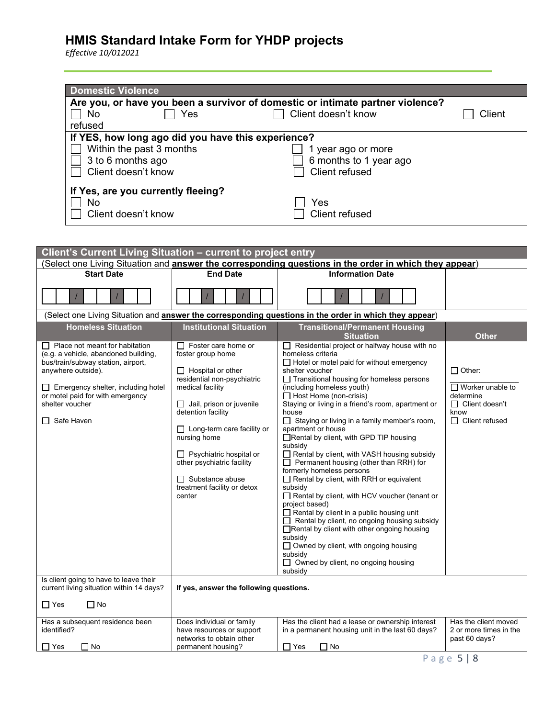| <b>Domestic Violence</b>                                                                                                                                                                                                                               |                                                                                                                                                                                                                                                                                                                                                                          |                                                                                                                                                                                                                                                                                                                                                                                                                                                                                                                                                                                                                                                                                                                                                                                                                                                                                                                                                                                                                                |                                                                                                                 |
|--------------------------------------------------------------------------------------------------------------------------------------------------------------------------------------------------------------------------------------------------------|--------------------------------------------------------------------------------------------------------------------------------------------------------------------------------------------------------------------------------------------------------------------------------------------------------------------------------------------------------------------------|--------------------------------------------------------------------------------------------------------------------------------------------------------------------------------------------------------------------------------------------------------------------------------------------------------------------------------------------------------------------------------------------------------------------------------------------------------------------------------------------------------------------------------------------------------------------------------------------------------------------------------------------------------------------------------------------------------------------------------------------------------------------------------------------------------------------------------------------------------------------------------------------------------------------------------------------------------------------------------------------------------------------------------|-----------------------------------------------------------------------------------------------------------------|
| No<br>refused                                                                                                                                                                                                                                          | Yes                                                                                                                                                                                                                                                                                                                                                                      | Are you, or have you been a survivor of domestic or intimate partner violence?<br>Client doesn't know                                                                                                                                                                                                                                                                                                                                                                                                                                                                                                                                                                                                                                                                                                                                                                                                                                                                                                                          | Client                                                                                                          |
| Within the past 3 months<br>3 to 6 months ago<br>Client doesn't know                                                                                                                                                                                   | If YES, how long ago did you have this experience?                                                                                                                                                                                                                                                                                                                       | 1 year ago or more<br>6 months to 1 year ago<br>Client refused                                                                                                                                                                                                                                                                                                                                                                                                                                                                                                                                                                                                                                                                                                                                                                                                                                                                                                                                                                 |                                                                                                                 |
| If Yes, are you currently fleeing?<br>No<br>Client doesn't know                                                                                                                                                                                        |                                                                                                                                                                                                                                                                                                                                                                          | Yes<br>Client refused                                                                                                                                                                                                                                                                                                                                                                                                                                                                                                                                                                                                                                                                                                                                                                                                                                                                                                                                                                                                          |                                                                                                                 |
|                                                                                                                                                                                                                                                        |                                                                                                                                                                                                                                                                                                                                                                          |                                                                                                                                                                                                                                                                                                                                                                                                                                                                                                                                                                                                                                                                                                                                                                                                                                                                                                                                                                                                                                |                                                                                                                 |
| Client's Current Living Situation - current to project entry                                                                                                                                                                                           |                                                                                                                                                                                                                                                                                                                                                                          |                                                                                                                                                                                                                                                                                                                                                                                                                                                                                                                                                                                                                                                                                                                                                                                                                                                                                                                                                                                                                                |                                                                                                                 |
| <b>Start Date</b>                                                                                                                                                                                                                                      | <b>End Date</b>                                                                                                                                                                                                                                                                                                                                                          | (Select one Living Situation and <b>answer the corresponding questions in the order in which they appear</b> )<br><b>Information Date</b>                                                                                                                                                                                                                                                                                                                                                                                                                                                                                                                                                                                                                                                                                                                                                                                                                                                                                      |                                                                                                                 |
|                                                                                                                                                                                                                                                        |                                                                                                                                                                                                                                                                                                                                                                          |                                                                                                                                                                                                                                                                                                                                                                                                                                                                                                                                                                                                                                                                                                                                                                                                                                                                                                                                                                                                                                |                                                                                                                 |
|                                                                                                                                                                                                                                                        |                                                                                                                                                                                                                                                                                                                                                                          | (Select one Living Situation and answer the corresponding questions in the order in which they appear)                                                                                                                                                                                                                                                                                                                                                                                                                                                                                                                                                                                                                                                                                                                                                                                                                                                                                                                         |                                                                                                                 |
| <b>Homeless Situation</b>                                                                                                                                                                                                                              | <b>Institutional Situation</b>                                                                                                                                                                                                                                                                                                                                           | <b>Transitional/Permanent Housing</b><br><b>Situation</b>                                                                                                                                                                                                                                                                                                                                                                                                                                                                                                                                                                                                                                                                                                                                                                                                                                                                                                                                                                      | <b>Other</b>                                                                                                    |
| Place not meant for habitation<br>(e.g. a vehicle, abandoned building,<br>bus/train/subway station, airport,<br>anywhere outside).<br>$\Box$ Emergency shelter, including hotel<br>or motel paid for with emergency<br>shelter voucher<br>□ Safe Haven | $\Box$ Foster care home or<br>foster group home<br>$\Box$ Hospital or other<br>residential non-psychiatric<br>medical facility<br>$\Box$ Jail, prison or juvenile<br>detention facility<br>$\Box$ Long-term care facility or<br>nursing home<br>$\Box$ Psychiatric hospital or<br>other psychiatric facility<br>Substance abuse<br>treatment facility or detox<br>center | Residential project or halfway house with no<br>$\mathbf{L}$<br>homeless criteria<br>$\Box$ Hotel or motel paid for without emergency<br>shelter voucher<br>$\Box$ Transitional housing for homeless persons<br>(including homeless youth)<br>$\Box$ Host Home (non-crisis)<br>Staying or living in a friend's room, apartment or<br>house<br>$\Box$ Staying or living in a family member's room,<br>apartment or house<br>Rental by client, with GPD TIP housing<br>subsidy<br>Rental by client, with VASH housing subsidy<br>$\Box$ Permanent housing (other than RRH) for<br>formerly homeless persons<br>Rental by client, with RRH or equivalent<br>subsidy<br>Rental by client, with HCV voucher (tenant or<br>project based)<br>$\Box$ Rental by client in a public housing unit<br>$\Box$ Rental by client, no ongoing housing subsidy<br>$\Box$ Rental by client with other ongoing housing<br>subsidy<br>$\Box$ Owned by client, with ongoing housing<br>subsidy<br>□ Owned by client, no ongoing housing<br>subsidy | $\Box$ Other:<br>$\Box$ Worker unable to<br>determine<br>$\Box$ Client doesn't<br>know<br>$\Box$ Client refused |
| Is client going to have to leave their<br>current living situation within 14 days?                                                                                                                                                                     | If yes, answer the following questions.                                                                                                                                                                                                                                                                                                                                  |                                                                                                                                                                                                                                                                                                                                                                                                                                                                                                                                                                                                                                                                                                                                                                                                                                                                                                                                                                                                                                |                                                                                                                 |
| $\Box$ Yes<br>$\Box$ No                                                                                                                                                                                                                                |                                                                                                                                                                                                                                                                                                                                                                          |                                                                                                                                                                                                                                                                                                                                                                                                                                                                                                                                                                                                                                                                                                                                                                                                                                                                                                                                                                                                                                |                                                                                                                 |
| Has a subsequent residence been<br>identified?<br>$\Box$ No<br>$\Box$ Yes                                                                                                                                                                              | Does individual or family<br>have resources or support<br>networks to obtain other<br>permanent housing?                                                                                                                                                                                                                                                                 | Has the client had a lease or ownership interest<br>in a permanent housing unit in the last 60 days?<br>$\Box$ Yes<br>$\Box$ No                                                                                                                                                                                                                                                                                                                                                                                                                                                                                                                                                                                                                                                                                                                                                                                                                                                                                                | Has the client moved<br>2 or more times in the<br>past 60 days?                                                 |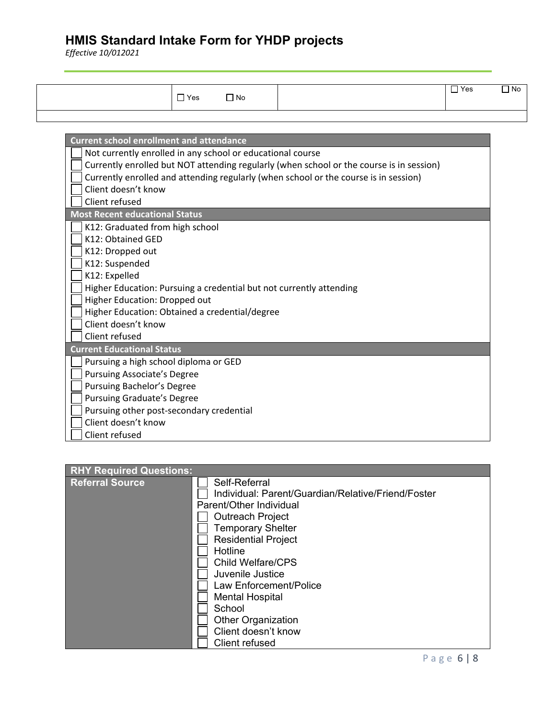| $\Box$ Yes | $\Box$ No | $\overline{\mathsf{Y}}$ es<br>ا سا | $\Box$ No |
|------------|-----------|------------------------------------|-----------|
|            |           |                                    |           |

| <b>Current school enrollment and attendance</b>                                          |
|------------------------------------------------------------------------------------------|
| Not currently enrolled in any school or educational course                               |
| Currently enrolled but NOT attending regularly (when school or the course is in session) |
| Currently enrolled and attending regularly (when school or the course is in session)     |
| Client doesn't know                                                                      |
| Client refused                                                                           |
| <b>Most Recent educational Status</b>                                                    |
| K12: Graduated from high school                                                          |
| K12: Obtained GED                                                                        |
| K12: Dropped out                                                                         |
| K12: Suspended                                                                           |
| K12: Expelled                                                                            |
| Higher Education: Pursuing a credential but not currently attending                      |
| Higher Education: Dropped out                                                            |
| Higher Education: Obtained a credential/degree                                           |
| Client doesn't know                                                                      |
| Client refused                                                                           |
| <b>Current Educational Status</b>                                                        |
| Pursuing a high school diploma or GED                                                    |
| <b>Pursuing Associate's Degree</b>                                                       |
| Pursuing Bachelor's Degree                                                               |
| <b>Pursuing Graduate's Degree</b>                                                        |
| Pursuing other post-secondary credential                                                 |
| Client doesn't know                                                                      |
| Client refused                                                                           |

| <b>RHY Required Questions:</b> |                                                    |
|--------------------------------|----------------------------------------------------|
| <b>Referral Source</b>         | Self-Referral                                      |
|                                | Individual: Parent/Guardian/Relative/Friend/Foster |
|                                | Parent/Other Individual                            |
|                                | <b>Outreach Project</b>                            |
|                                | <b>Temporary Shelter</b>                           |
|                                | <b>Residential Project</b>                         |
|                                | Hotline                                            |
|                                | <b>Child Welfare/CPS</b>                           |
|                                | Juvenile Justice                                   |
|                                | Law Enforcement/Police                             |
|                                | <b>Mental Hospital</b>                             |
|                                | School                                             |
|                                | <b>Other Organization</b>                          |
|                                | Client doesn't know                                |
|                                | Client refused                                     |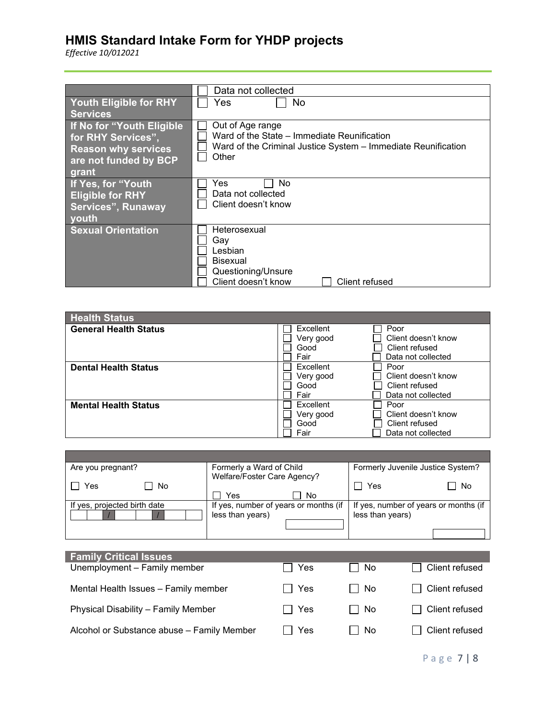|                               | Data not collected                                            |
|-------------------------------|---------------------------------------------------------------|
| <b>Youth Eligible for RHY</b> | No.<br>Yes                                                    |
| <b>Services</b>               |                                                               |
| If No for "Youth Eligible     | Out of Age range                                              |
| for RHY Services",            | Ward of the State – Immediate Reunification                   |
| <b>Reason why services</b>    | Ward of the Criminal Justice System - Immediate Reunification |
| are not funded by BCP         | Other                                                         |
| grant                         |                                                               |
| If Yes, for "Youth            | No<br>Yes                                                     |
| <b>Eligible for RHY</b>       | Data not collected                                            |
| <b>Services", Runaway</b>     | Client doesn't know                                           |
| <b>youth</b>                  |                                                               |
|                               |                                                               |
| <b>Sexual Orientation</b>     | Heterosexual                                                  |
|                               | Gav                                                           |
|                               | Lesbian                                                       |
|                               | <b>Bisexual</b>                                               |
|                               | Questioning/Unsure                                            |
|                               | Client doesn't know<br>Client refused                         |

| <b>Health Status</b>         |           |                     |
|------------------------------|-----------|---------------------|
| <b>General Health Status</b> | Excellent | Poor                |
|                              | Very good | Client doesn't know |
|                              | Good      | Client refused      |
|                              | Fair      | Data not collected  |
| <b>Dental Health Status</b>  | Excellent | Poor                |
|                              | Very good | Client doesn't know |
|                              | Good      | Client refused      |
|                              | Fair      | Data not collected  |
| <b>Mental Health Status</b>  | Excellent | Poor                |
|                              | Very good | Client doesn't know |
|                              | Good      | Client refused      |
|                              | Fair      | Data not collected  |

| Are you pregnant?            | Formerly a Ward of Child              | Formerly Juvenile Justice System?     |
|------------------------------|---------------------------------------|---------------------------------------|
|                              | Welfare/Foster Care Agency?           |                                       |
| No<br>Yes                    |                                       | No<br>Yes                             |
|                              | ∃ No<br>Yes                           |                                       |
| If yes, projected birth date | If yes, number of years or months (if | If yes, number of years or months (if |
|                              | less than years)                      | less than years)                      |
|                              |                                       |                                       |
|                              |                                       |                                       |
|                              |                                       |                                       |

| <b>Family Critical Issues</b><br>Unemployment - Family member | Yes     | $\Box$ No | Client refused        |
|---------------------------------------------------------------|---------|-----------|-----------------------|
| Mental Health Issues - Family member                          | l I Yes | l I No    | Client refused        |
| Physical Disability - Family Member                           | l I Yes | l I No    | <b>Client refused</b> |
| Alcohol or Substance abuse - Family Member                    | Yes     | l No      | Client refused        |